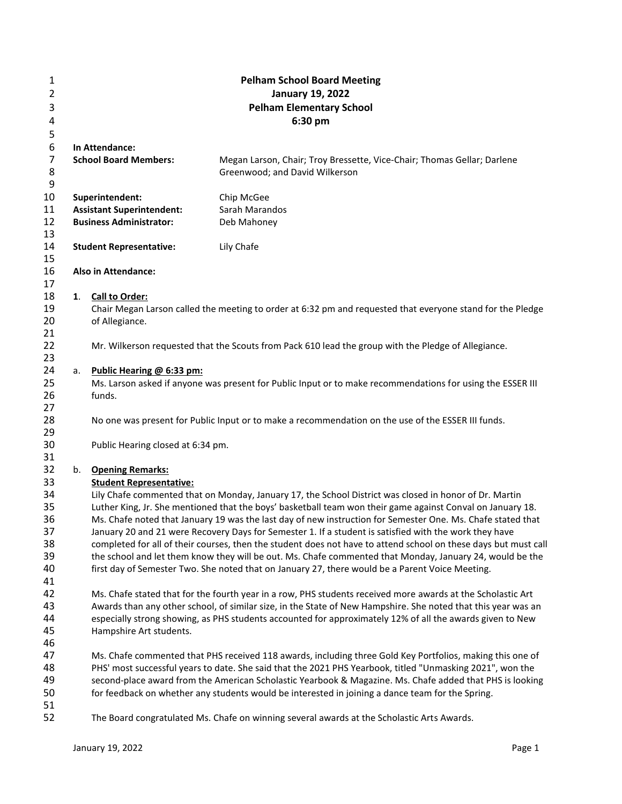| $\mathbf{1}$   |    |                                   | <b>Pelham School Board Meeting</b>                                                                              |
|----------------|----|-----------------------------------|-----------------------------------------------------------------------------------------------------------------|
| 2              |    |                                   | <b>January 19, 2022</b>                                                                                         |
| 3              |    |                                   | <b>Pelham Elementary School</b>                                                                                 |
| 4              |    |                                   | 6:30 pm                                                                                                         |
| 5              |    |                                   |                                                                                                                 |
| 6              |    | In Attendance:                    |                                                                                                                 |
| $\overline{7}$ |    | <b>School Board Members:</b>      | Megan Larson, Chair; Troy Bressette, Vice-Chair; Thomas Gellar; Darlene                                         |
| 8              |    |                                   | Greenwood; and David Wilkerson                                                                                  |
| 9              |    |                                   |                                                                                                                 |
| 10             |    | Superintendent:                   | Chip McGee                                                                                                      |
| 11             |    | <b>Assistant Superintendent:</b>  | Sarah Marandos                                                                                                  |
| 12             |    | <b>Business Administrator:</b>    | Deb Mahoney                                                                                                     |
| 13             |    |                                   |                                                                                                                 |
| 14             |    | <b>Student Representative:</b>    | Lily Chafe                                                                                                      |
| 15             |    |                                   |                                                                                                                 |
| 16             |    | <b>Also in Attendance:</b>        |                                                                                                                 |
| 17             |    |                                   |                                                                                                                 |
| 18             | 1. | Call to Order:                    |                                                                                                                 |
| 19<br>20       |    |                                   | Chair Megan Larson called the meeting to order at 6:32 pm and requested that everyone stand for the Pledge      |
| 21             |    | of Allegiance.                    |                                                                                                                 |
| 22             |    |                                   | Mr. Wilkerson requested that the Scouts from Pack 610 lead the group with the Pledge of Allegiance.             |
| 23             |    |                                   |                                                                                                                 |
| 24             | а. | Public Hearing @ 6:33 pm:         |                                                                                                                 |
| 25             |    |                                   | Ms. Larson asked if anyone was present for Public Input or to make recommendations for using the ESSER III      |
| 26             |    | funds.                            |                                                                                                                 |
| 27             |    |                                   |                                                                                                                 |
| 28             |    |                                   | No one was present for Public Input or to make a recommendation on the use of the ESSER III funds.              |
| 29             |    |                                   |                                                                                                                 |
| 30             |    | Public Hearing closed at 6:34 pm. |                                                                                                                 |
| 31             |    |                                   |                                                                                                                 |
| 32             |    | b. Opening Remarks:               |                                                                                                                 |
| 33             |    | <b>Student Representative:</b>    |                                                                                                                 |
| 34             |    |                                   | Lily Chafe commented that on Monday, January 17, the School District was closed in honor of Dr. Martin          |
| 35             |    |                                   | Luther King, Jr. She mentioned that the boys' basketball team won their game against Conval on January 18.      |
| 36             |    |                                   | Ms. Chafe noted that January 19 was the last day of new instruction for Semester One. Ms. Chafe stated that     |
| 37             |    |                                   | January 20 and 21 were Recovery Days for Semester 1. If a student is satisfied with the work they have          |
| 38             |    |                                   | completed for all of their courses, then the student does not have to attend school on these days but must call |
| 39             |    |                                   | the school and let them know they will be out. Ms. Chafe commented that Monday, January 24, would be the        |
| 40<br>41       |    |                                   | first day of Semester Two. She noted that on January 27, there would be a Parent Voice Meeting.                 |
| 42             |    |                                   | Ms. Chafe stated that for the fourth year in a row, PHS students received more awards at the Scholastic Art     |
| 43             |    |                                   | Awards than any other school, of similar size, in the State of New Hampshire. She noted that this year was an   |
| 44             |    |                                   | especially strong showing, as PHS students accounted for approximately 12% of all the awards given to New       |
| 45             |    | Hampshire Art students.           |                                                                                                                 |
| 46             |    |                                   |                                                                                                                 |
| 47             |    |                                   | Ms. Chafe commented that PHS received 118 awards, including three Gold Key Portfolios, making this one of       |
| 48             |    |                                   | PHS' most successful years to date. She said that the 2021 PHS Yearbook, titled "Unmasking 2021", won the       |
| 49             |    |                                   | second-place award from the American Scholastic Yearbook & Magazine. Ms. Chafe added that PHS is looking        |
| 50             |    |                                   | for feedback on whether any students would be interested in joining a dance team for the Spring.                |
| 51             |    |                                   |                                                                                                                 |
| 52             |    |                                   | The Board congratulated Ms. Chafe on winning several awards at the Scholastic Arts Awards.                      |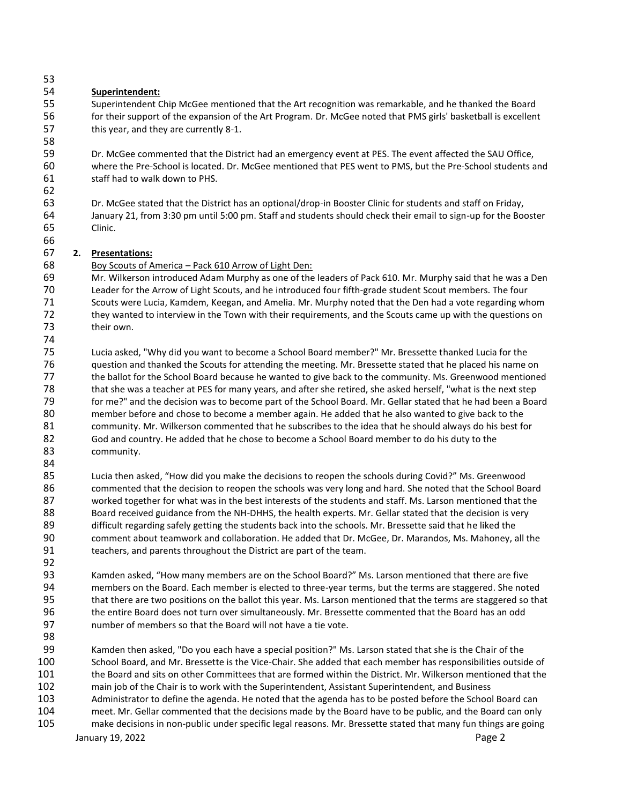# **Superintendent:**

 Superintendent Chip McGee mentioned that the Art recognition was remarkable, and he thanked the Board for their support of the expansion of the Art Program. Dr. McGee noted that PMS girls' basketball is excellent this year, and they are currently 8-1.

 Dr. McGee commented that the District had an emergency event at PES. The event affected the SAU Office, where the Pre-School is located. Dr. McGee mentioned that PES went to PMS, but the Pre-School students and staff had to walk down to PHS.

 Dr. McGee stated that the District has an optional/drop-in Booster Clinic for students and staff on Friday, January 21, from 3:30 pm until 5:00 pm. Staff and students should check their email to sign-up for the Booster Clinic.

### **2. Presentations:**

Boy Scouts of America – Pack 610 Arrow of Light Den:

 Mr. Wilkerson introduced Adam Murphy as one of the leaders of Pack 610. Mr. Murphy said that he was a Den Leader for the Arrow of Light Scouts, and he introduced four fifth-grade student Scout members. The four Scouts were Lucia, Kamdem, Keegan, and Amelia. Mr. Murphy noted that the Den had a vote regarding whom they wanted to interview in the Town with their requirements, and the Scouts came up with the questions on their own. 

 Lucia asked, "Why did you want to become a School Board member?" Mr. Bressette thanked Lucia for the question and thanked the Scouts for attending the meeting. Mr. Bressette stated that he placed his name on the ballot for the School Board because he wanted to give back to the community. Ms. Greenwood mentioned Term of that she was a teacher at PES for many years, and after she retired, she asked herself, "what is the next step<br>The stated that he had been a Board. The school Board Mr. Gellar stated that he had been a Board. for me?" and the decision was to become part of the School Board. Mr. Gellar stated that he had been a Board member before and chose to become a member again. He added that he also wanted to give back to the community. Mr. Wilkerson commented that he subscribes to the idea that he should always do his best for God and country. He added that he chose to become a School Board member to do his duty to the community.

 Lucia then asked, "How did you make the decisions to reopen the schools during Covid?" Ms. Greenwood commented that the decision to reopen the schools was very long and hard. She noted that the School Board worked together for what was in the best interests of the students and staff. Ms. Larson mentioned that the Board received guidance from the NH-DHHS, the health experts. Mr. Gellar stated that the decision is very 89 difficult regarding safely getting the students back into the schools. Mr. Bressette said that he liked the comment about teamwork and collaboration. He added that Dr. McGee, Dr. Marandos, Ms. Mahoney, all the teachers, and parents throughout the District are part of the team.

 Kamden asked, "How many members are on the School Board?" Ms. Larson mentioned that there are five members on the Board. Each member is elected to three-year terms, but the terms are staggered. She noted that there are two positions on the ballot this year. Ms. Larson mentioned that the terms are staggered so that the entire Board does not turn over simultaneously. Mr. Bressette commented that the Board has an odd number of members so that the Board will not have a tie vote.

 Kamden then asked, "Do you each have a special position?" Ms. Larson stated that she is the Chair of the School Board, and Mr. Bressette is the Vice-Chair. She added that each member has responsibilities outside of the Board and sits on other Committees that are formed within the District. Mr. Wilkerson mentioned that the main job of the Chair is to work with the Superintendent, Assistant Superintendent, and Business Administrator to define the agenda. He noted that the agenda has to be posted before the School Board can meet. Mr. Gellar commented that the decisions made by the Board have to be public, and the Board can only make decisions in non-public under specific legal reasons. Mr. Bressette stated that many fun things are going

January 19, 2022 **Page 2 Page 2**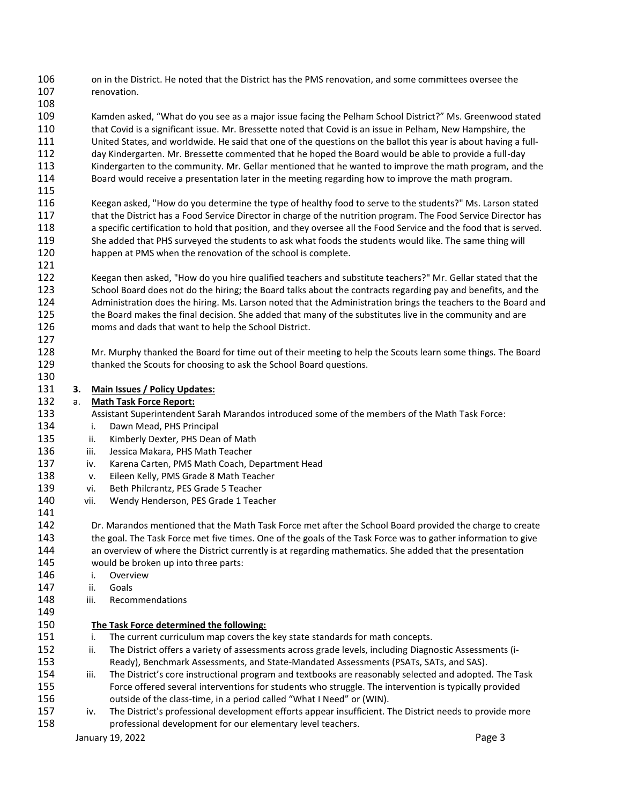on in the District. He noted that the District has the PMS renovation, and some committees oversee the renovation.

 Kamden asked, "What do you see as a major issue facing the Pelham School District?" Ms. Greenwood stated that Covid is a significant issue. Mr. Bressette noted that Covid is an issue in Pelham, New Hampshire, the United States, and worldwide. He said that one of the questions on the ballot this year is about having a full- day Kindergarten. Mr. Bressette commented that he hoped the Board would be able to provide a full-day Kindergarten to the community. Mr. Gellar mentioned that he wanted to improve the math program, and the Board would receive a presentation later in the meeting regarding how to improve the math program.

 Keegan asked, "How do you determine the type of healthy food to serve to the students?" Ms. Larson stated 117 that the District has a Food Service Director in charge of the nutrition program. The Food Service Director has a specific certification to hold that position, and they oversee all the Food Service and the food that is served. She added that PHS surveyed the students to ask what foods the students would like. The same thing will happen at PMS when the renovation of the school is complete.

- Keegan then asked, "How do you hire qualified teachers and substitute teachers?" Mr. Gellar stated that the School Board does not do the hiring; the Board talks about the contracts regarding pay and benefits, and the Administration does the hiring. Ms. Larson noted that the Administration brings the teachers to the Board and the Board makes the final decision. She added that many of the substitutes live in the community and are moms and dads that want to help the School District.
- Mr. Murphy thanked the Board for time out of their meeting to help the Scouts learn some things. The Board thanked the Scouts for choosing to ask the School Board questions.
- 

**3. Main Issues / Policy Updates:**

- a. **Math Task Force Report:**
- Assistant Superintendent Sarah Marandos introduced some of the members of the Math Task Force:
- i. Dawn Mead, PHS Principal
- ii. Kimberly Dexter, PHS Dean of Math
- iii. Jessica Makara, PHS Math Teacher
- iv. Karena Carten, PMS Math Coach, Department Head
- v. Eileen Kelly, PMS Grade 8 Math Teacher
- vi. Beth Philcrantz, PES Grade 5 Teacher
- vii. Wendy Henderson, PES Grade 1 Teacher
- Dr. Marandos mentioned that the Math Task Force met after the School Board provided the charge to create 143 the goal. The Task Force met five times. One of the goals of the Task Force was to gather information to give an overview of where the District currently is at regarding mathematics. She added that the presentation would be broken up into three parts: i. Overview ii. Goals iii. Recommendations
- 

# **The Task Force determined the following:**

- i. The current curriculum map covers the key state standards for math concepts.
- 152 ii. The District offers a variety of assessments across grade levels, including Diagnostic Assessments (i-Ready), Benchmark Assessments, and State-Mandated Assessments (PSATs, SATs, and SAS).
- iii. The District's core instructional program and textbooks are reasonably selected and adopted. The Task Force offered several interventions for students who struggle. The intervention is typically provided outside of the class-time, in a period called "What I Need" or (WIN).
- iv. The District's professional development efforts appear insufficient. The District needs to provide more professional development for our elementary level teachers.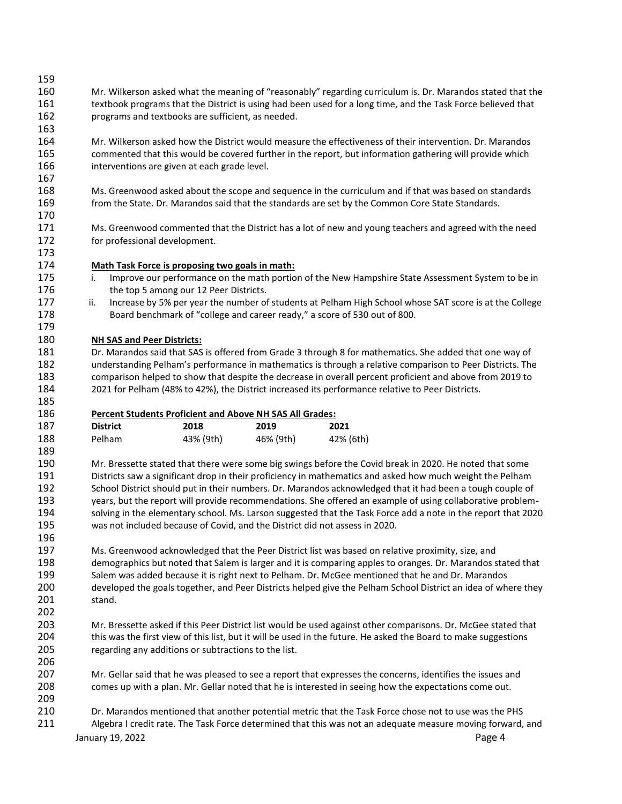| 159 |                                                                                                                 |  |  |  |
|-----|-----------------------------------------------------------------------------------------------------------------|--|--|--|
| 160 | Mr. Wilkerson asked what the meaning of "reasonably" regarding curriculum is. Dr. Marandos stated that the      |  |  |  |
| 161 | textbook programs that the District is using had been used for a long time, and the Task Force believed that    |  |  |  |
| 162 | programs and textbooks are sufficient, as needed.                                                               |  |  |  |
| 163 |                                                                                                                 |  |  |  |
| 164 | Mr. Wilkerson asked how the District would measure the effectiveness of their intervention. Dr. Marandos        |  |  |  |
| 165 | commented that this would be covered further in the report, but information gathering will provide which        |  |  |  |
| 166 | interventions are given at each grade level.                                                                    |  |  |  |
| 167 |                                                                                                                 |  |  |  |
| 168 | Ms. Greenwood asked about the scope and sequence in the curriculum and if that was based on standards           |  |  |  |
| 169 | from the State. Dr. Marandos said that the standards are set by the Common Core State Standards.                |  |  |  |
| 170 |                                                                                                                 |  |  |  |
| 171 | Ms. Greenwood commented that the District has a lot of new and young teachers and agreed with the need          |  |  |  |
| 172 | for professional development.                                                                                   |  |  |  |
| 173 |                                                                                                                 |  |  |  |
| 174 | Math Task Force is proposing two goals in math:                                                                 |  |  |  |
| 175 | Improve our performance on the math portion of the New Hampshire State Assessment System to be in<br>i.         |  |  |  |
| 176 |                                                                                                                 |  |  |  |
|     | the top 5 among our 12 Peer Districts.                                                                          |  |  |  |
| 177 | Increase by 5% per year the number of students at Pelham High School whose SAT score is at the College<br>ii.   |  |  |  |
| 178 | Board benchmark of "college and career ready," a score of 530 out of 800.                                       |  |  |  |
| 179 |                                                                                                                 |  |  |  |
| 180 | <b>NH SAS and Peer Districts:</b>                                                                               |  |  |  |
| 181 | Dr. Marandos said that SAS is offered from Grade 3 through 8 for mathematics. She added that one way of         |  |  |  |
| 182 | understanding Pelham's performance in mathematics is through a relative comparison to Peer Districts. The       |  |  |  |
| 183 | comparison helped to show that despite the decrease in overall percent proficient and above from 2019 to        |  |  |  |
| 184 | 2021 for Pelham (48% to 42%), the District increased its performance relative to Peer Districts.                |  |  |  |
| 185 |                                                                                                                 |  |  |  |
| 186 | <b>Percent Students Proficient and Above NH SAS All Grades:</b>                                                 |  |  |  |
| 187 | <b>District</b><br>2018<br>2021<br>2019                                                                         |  |  |  |
| 188 | Pelham<br>46% (9th)<br>42% (6th)<br>43% (9th)                                                                   |  |  |  |
| 189 |                                                                                                                 |  |  |  |
| 190 | Mr. Bressette stated that there were some big swings before the Covid break in 2020. He noted that some         |  |  |  |
| 191 | Districts saw a significant drop in their proficiency in mathematics and asked how much weight the Pelham       |  |  |  |
| 192 | School District should put in their numbers. Dr. Marandos acknowledged that it had been a tough couple of       |  |  |  |
| 193 | years, but the report will provide recommendations. She offered an example of using collaborative problem-      |  |  |  |
| 194 | solving in the elementary school. Ms. Larson suggested that the Task Force add a note in the report that 2020   |  |  |  |
| 195 | was not included because of Covid, and the District did not assess in 2020.                                     |  |  |  |
| 196 |                                                                                                                 |  |  |  |
| 197 | Ms. Greenwood acknowledged that the Peer District list was based on relative proximity, size, and               |  |  |  |
| 198 | demographics but noted that Salem is larger and it is comparing apples to oranges. Dr. Marandos stated that     |  |  |  |
| 199 | Salem was added because it is right next to Pelham. Dr. McGee mentioned that he and Dr. Marandos                |  |  |  |
| 200 | developed the goals together, and Peer Districts helped give the Pelham School District an idea of where they   |  |  |  |
| 201 | stand.                                                                                                          |  |  |  |
| 202 |                                                                                                                 |  |  |  |
| 203 | Mr. Bressette asked if this Peer District list would be used against other comparisons. Dr. McGee stated that   |  |  |  |
| 204 | this was the first view of this list, but it will be used in the future. He asked the Board to make suggestions |  |  |  |
| 205 | regarding any additions or subtractions to the list.                                                            |  |  |  |
| 206 |                                                                                                                 |  |  |  |
| 207 | Mr. Gellar said that he was pleased to see a report that expresses the concerns, identifies the issues and      |  |  |  |
| 208 | comes up with a plan. Mr. Gellar noted that he is interested in seeing how the expectations come out.           |  |  |  |
| 209 |                                                                                                                 |  |  |  |
| 210 |                                                                                                                 |  |  |  |
|     | Dr. Marandos mentioned that another potential metric that the Task Force chose not to use was the PHS           |  |  |  |
| 211 | Algebra I credit rate. The Task Force determined that this was not an adequate measure moving forward, and      |  |  |  |
|     | January 19, 2022<br>Page 4                                                                                      |  |  |  |
|     |                                                                                                                 |  |  |  |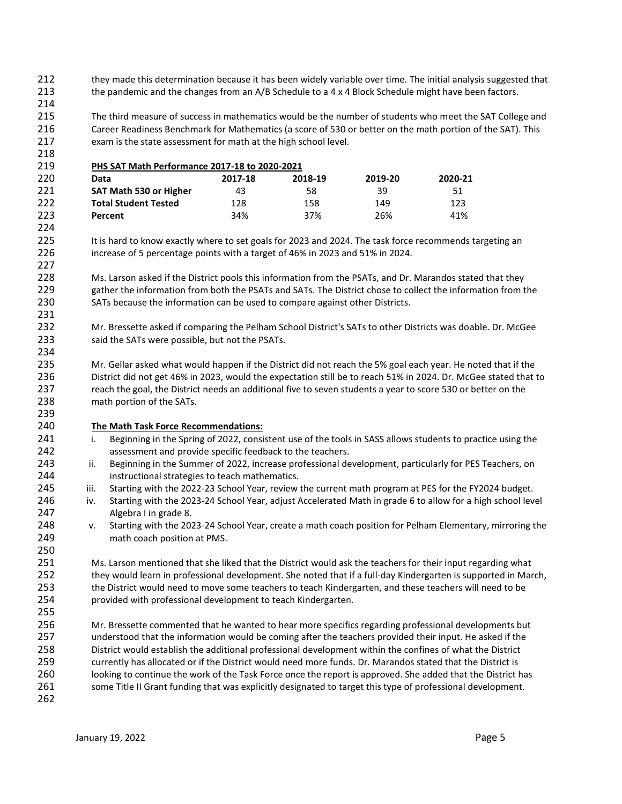they made this determination because it has been widely variable over time. The initial analysis suggested that 213 the pandemic and the changes from an A/B Schedule to a 4 x 4 Block Schedule might have been factors.

 The third measure of success in mathematics would be the number of students who meet the SAT College and Career Readiness Benchmark for Mathematics (a score of 530 or better on the math portion of the SAT). This exam is the state assessment for math at the high school level.

 **PHS SAT Math Performance 2017-18 to 2020-2021 Data 2017-18 2018-19 2019-20 2020-21 SAT Math 530 or Higher** 43 58 39 51 51 **Total Student Tested** 128 158 149 123 **Percent** 34% 37% 26% 41% 

225 It is hard to know exactly where to set goals for 2023 and 2024. The task force recommends targeting an increase of 5 percentage points with a target of 46% in 2023 and 51% in 2024.

 Ms. Larson asked if the District pools this information from the PSATs, and Dr. Marandos stated that they gather the information from both the PSATs and SATs. The District chose to collect the information from the SATs because the information can be used to compare against other Districts.

 Mr. Bressette asked if comparing the Pelham School District's SATs to other Districts was doable. Dr. McGee said the SATs were possible, but not the PSATs.

 Mr. Gellar asked what would happen if the District did not reach the 5% goal each year. He noted that if the District did not get 46% in 2023, would the expectation still be to reach 51% in 2024. Dr. McGee stated that to 237 reach the goal, the District needs an additional five to seven students a year to score 530 or better on the math portion of the SATs.

### **The Math Task Force Recommendations:**

- 241 i. Beginning in the Spring of 2022, consistent use of the tools in SASS allows students to practice using the assessment and provide specific feedback to the teachers.
- 243 ii. Beginning in the Summer of 2022, increase professional development, particularly for PES Teachers, on instructional strategies to teach mathematics.
- iii. Starting with the 2022-23 School Year, review the current math program at PES for the FY2024 budget.
- iv. Starting with the 2023-24 School Year, adjust Accelerated Math in grade 6 to allow for a high school level Algebra I in grade 8.
- v. Starting with the 2023-24 School Year, create a math coach position for Pelham Elementary, mirroring the math coach position at PMS.

 Ms. Larson mentioned that she liked that the District would ask the teachers for their input regarding what they would learn in professional development. She noted that if a full-day Kindergarten is supported in March, the District would need to move some teachers to teach Kindergarten, and these teachers will need to be provided with professional development to teach Kindergarten.

 Mr. Bressette commented that he wanted to hear more specifics regarding professional developments but understood that the information would be coming after the teachers provided their input. He asked if the District would establish the additional professional development within the confines of what the District currently has allocated or if the District would need more funds. Dr. Marandos stated that the District is looking to continue the work of the Task Force once the report is approved. She added that the District has some Title II Grant funding that was explicitly designated to target this type of professional development.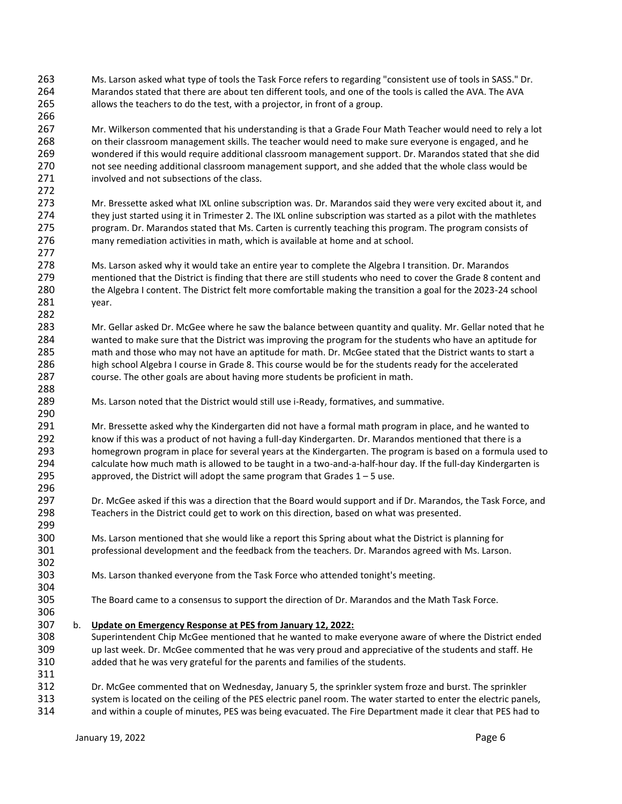Ms. Larson asked what type of tools the Task Force refers to regarding "consistent use of tools in SASS." Dr. Marandos stated that there are about ten different tools, and one of the tools is called the AVA. The AVA allows the teachers to do the test, with a projector, in front of a group.

 Mr. Wilkerson commented that his understanding is that a Grade Four Math Teacher would need to rely a lot on their classroom management skills. The teacher would need to make sure everyone is engaged, and he wondered if this would require additional classroom management support. Dr. Marandos stated that she did not see needing additional classroom management support, and she added that the whole class would be 271 involved and not subsections of the class.

 Mr. Bressette asked what IXL online subscription was. Dr. Marandos said they were very excited about it, and they just started using it in Trimester 2. The IXL online subscription was started as a pilot with the mathletes program. Dr. Marandos stated that Ms. Carten is currently teaching this program. The program consists of many remediation activities in math, which is available at home and at school.

- Ms. Larson asked why it would take an entire year to complete the Algebra I transition. Dr. Marandos mentioned that the District is finding that there are still students who need to cover the Grade 8 content and the Algebra I content. The District felt more comfortable making the transition a goal for the 2023-24 school year.
- Mr. Gellar asked Dr. McGee where he saw the balance between quantity and quality. Mr. Gellar noted that he wanted to make sure that the District was improving the program for the students who have an aptitude for math and those who may not have an aptitude for math. Dr. McGee stated that the District wants to start a high school Algebra I course in Grade 8. This course would be for the students ready for the accelerated course. The other goals are about having more students be proficient in math.
- Ms. Larson noted that the District would still use i-Ready, formatives, and summative.

 Mr. Bressette asked why the Kindergarten did not have a formal math program in place, and he wanted to know if this was a product of not having a full-day Kindergarten. Dr. Marandos mentioned that there is a homegrown program in place for several years at the Kindergarten. The program is based on a formula used to calculate how much math is allowed to be taught in a two-and-a-half-hour day. If the full-day Kindergarten is 295 approved, the District will adopt the same program that Grades  $1 - 5$  use.

- Dr. McGee asked if this was a direction that the Board would support and if Dr. Marandos, the Task Force, and Teachers in the District could get to work on this direction, based on what was presented.
- Ms. Larson mentioned that she would like a report this Spring about what the District is planning for professional development and the feedback from the teachers. Dr. Marandos agreed with Ms. Larson.
- Ms. Larson thanked everyone from the Task Force who attended tonight's meeting.
- The Board came to a consensus to support the direction of Dr. Marandos and the Math Task Force.
- b. **Update on Emergency Response at PES from January 12, 2022:**
- Superintendent Chip McGee mentioned that he wanted to make everyone aware of where the District ended up last week. Dr. McGee commented that he was very proud and appreciative of the students and staff. He added that he was very grateful for the parents and families of the students.
- Dr. McGee commented that on Wednesday, January 5, the sprinkler system froze and burst. The sprinkler system is located on the ceiling of the PES electric panel room. The water started to enter the electric panels,
- and within a couple of minutes, PES was being evacuated. The Fire Department made it clear that PES had to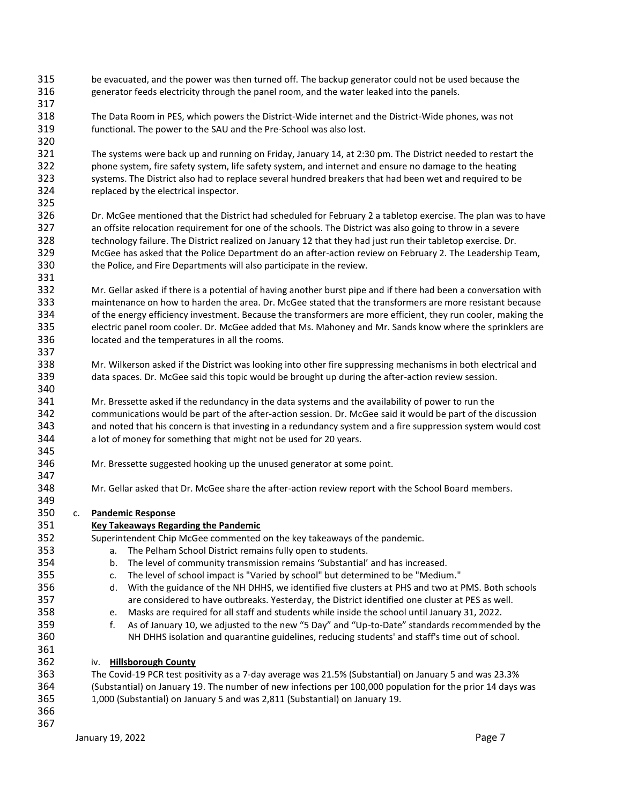- be evacuated, and the power was then turned off. The backup generator could not be used because the generator feeds electricity through the panel room, and the water leaked into the panels.
- The Data Room in PES, which powers the District-Wide internet and the District-Wide phones, was not functional. The power to the SAU and the Pre-School was also lost.
- The systems were back up and running on Friday, January 14, at 2:30 pm. The District needed to restart the phone system, fire safety system, life safety system, and internet and ensure no damage to the heating systems. The District also had to replace several hundred breakers that had been wet and required to be replaced by the electrical inspector.
- Dr. McGee mentioned that the District had scheduled for February 2 a tabletop exercise. The plan was to have an offsite relocation requirement for one of the schools. The District was also going to throw in a severe technology failure. The District realized on January 12 that they had just run their tabletop exercise. Dr. McGee has asked that the Police Department do an after-action review on February 2. The Leadership Team, the Police, and Fire Departments will also participate in the review.
- Mr. Gellar asked if there is a potential of having another burst pipe and if there had been a conversation with maintenance on how to harden the area. Dr. McGee stated that the transformers are more resistant because of the energy efficiency investment. Because the transformers are more efficient, they run cooler, making the electric panel room cooler. Dr. McGee added that Ms. Mahoney and Mr. Sands know where the sprinklers are located and the temperatures in all the rooms.
- Mr. Wilkerson asked if the District was looking into other fire suppressing mechanisms in both electrical and data spaces. Dr. McGee said this topic would be brought up during the after-action review session.
- Mr. Bressette asked if the redundancy in the data systems and the availability of power to run the communications would be part of the after-action session. Dr. McGee said it would be part of the discussion and noted that his concern is that investing in a redundancy system and a fire suppression system would cost a lot of money for something that might not be used for 20 years.
- Mr. Bressette suggested hooking up the unused generator at some point.
- Mr. Gellar asked that Dr. McGee share the after-action review report with the School Board members.
- c. **Pandemic Response**

# **Key Takeaways Regarding the Pandemic**

- Superintendent Chip McGee commented on the key takeaways of the pandemic.
- a. The Pelham School District remains fully open to students.
- b. The level of community transmission remains 'Substantial' and has increased.
- c. The level of school impact is "Varied by school" but determined to be "Medium."
- d. With the guidance of the NH DHHS, we identified five clusters at PHS and two at PMS. Both schools are considered to have outbreaks. Yesterday, the District identified one cluster at PES as well.
- e. Masks are required for all staff and students while inside the school until January 31, 2022.
- f. As of January 10, we adjusted to the new "5 Day" and "Up-to-Date" standards recommended by the NH DHHS isolation and quarantine guidelines, reducing students' and staff's time out of school.
- iv. **Hillsborough County**
- The Covid-19 PCR test positivity as a 7-day average was 21.5% (Substantial) on January 5 and was 23.3% (Substantial) on January 19. The number of new infections per 100,000 population for the prior 14 days was 1,000 (Substantial) on January 5 and was 2,811 (Substantial) on January 19.
-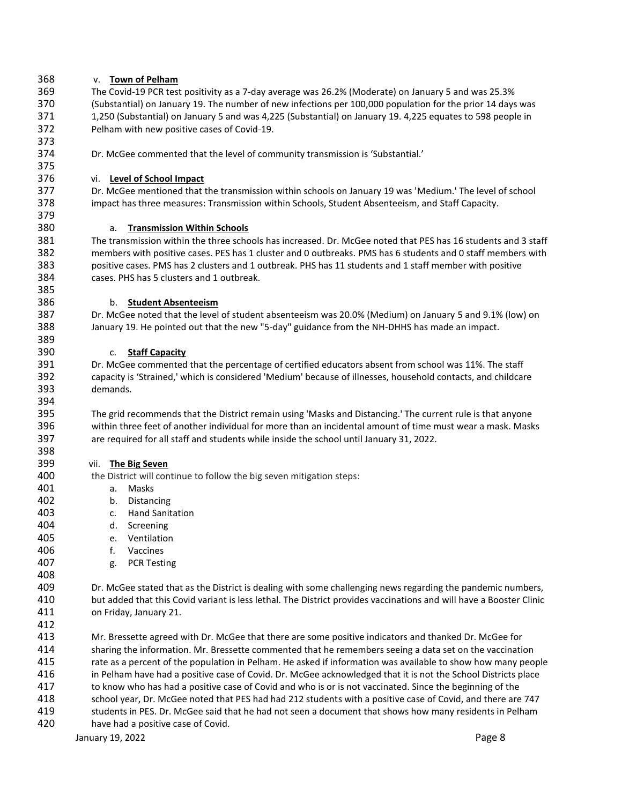## v. **Town of Pelham**

 The Covid-19 PCR test positivity as a 7-day average was 26.2% (Moderate) on January 5 and was 25.3% (Substantial) on January 19. The number of new infections per 100,000 population for the prior 14 days was 1,250 (Substantial) on January 5 and was 4,225 (Substantial) on January 19. 4,225 equates to 598 people in Pelham with new positive cases of Covid-19.

Dr. McGee commented that the level of community transmission is 'Substantial.'

## vi. **Level of School Impact**

 Dr. McGee mentioned that the transmission within schools on January 19 was 'Medium.' The level of school impact has three measures: Transmission within Schools, Student Absenteeism, and Staff Capacity.

### a. **Transmission Within Schools**

 The transmission within the three schools has increased. Dr. McGee noted that PES has 16 students and 3 staff members with positive cases. PES has 1 cluster and 0 outbreaks. PMS has 6 students and 0 staff members with positive cases. PMS has 2 clusters and 1 outbreak. PHS has 11 students and 1 staff member with positive cases. PHS has 5 clusters and 1 outbreak.

### b. **Student Absenteeism**

 Dr. McGee noted that the level of student absenteeism was 20.0% (Medium) on January 5 and 9.1% (low) on January 19. He pointed out that the new "5-day" guidance from the NH-DHHS has made an impact.

### c. **Staff Capacity**

 Dr. McGee commented that the percentage of certified educators absent from school was 11%. The staff capacity is 'Strained,' which is considered 'Medium' because of illnesses, household contacts, and childcare demands.

 The grid recommends that the District remain using 'Masks and Distancing.' The current rule is that anyone within three feet of another individual for more than an incidental amount of time must wear a mask. Masks are required for all staff and students while inside the school until January 31, 2022.

### vii. **The Big Seven**

400 the District will continue to follow the big seven mitigation steps:

- a. Masks
- b. Distancing
- c. Hand Sanitation
- d. Screening
- e. Ventilation
- f. Vaccines
- g. PCR Testing

 Dr. McGee stated that as the District is dealing with some challenging news regarding the pandemic numbers, but added that this Covid variant is less lethal. The District provides vaccinations and will have a Booster Clinic on Friday, January 21.

 Mr. Bressette agreed with Dr. McGee that there are some positive indicators and thanked Dr. McGee for sharing the information. Mr. Bressette commented that he remembers seeing a data set on the vaccination rate as a percent of the population in Pelham. He asked if information was available to show how many people in Pelham have had a positive case of Covid. Dr. McGee acknowledged that it is not the School Districts place to know who has had a positive case of Covid and who is or is not vaccinated. Since the beginning of the school year, Dr. McGee noted that PES had had 212 students with a positive case of Covid, and there are 747 students in PES. Dr. McGee said that he had not seen a document that shows how many residents in Pelham have had a positive case of Covid.

January 19, 2022 **Page 8**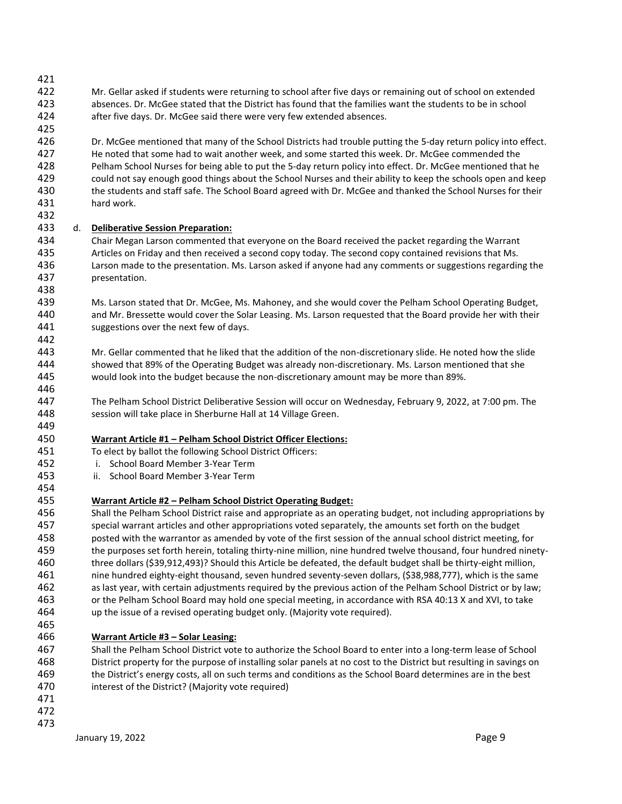- Mr. Gellar asked if students were returning to school after five days or remaining out of school on extended absences. Dr. McGee stated that the District has found that the families want the students to be in school after five days. Dr. McGee said there were very few extended absences.
- Dr. McGee mentioned that many of the School Districts had trouble putting the 5-day return policy into effect. He noted that some had to wait another week, and some started this week. Dr. McGee commended the Pelham School Nurses for being able to put the 5-day return policy into effect. Dr. McGee mentioned that he could not say enough good things about the School Nurses and their ability to keep the schools open and keep the students and staff safe. The School Board agreed with Dr. McGee and thanked the School Nurses for their hard work.
- d. **Deliberative Session Preparation:**
- Chair Megan Larson commented that everyone on the Board received the packet regarding the Warrant Articles on Friday and then received a second copy today. The second copy contained revisions that Ms. Larson made to the presentation. Ms. Larson asked if anyone had any comments or suggestions regarding the presentation.
- Ms. Larson stated that Dr. McGee, Ms. Mahoney, and she would cover the Pelham School Operating Budget, and Mr. Bressette would cover the Solar Leasing. Ms. Larson requested that the Board provide her with their 441 suggestions over the next few of days.
- Mr. Gellar commented that he liked that the addition of the non-discretionary slide. He noted how the slide showed that 89% of the Operating Budget was already non-discretionary. Ms. Larson mentioned that she would look into the budget because the non-discretionary amount may be more than 89%.
- The Pelham School District Deliberative Session will occur on Wednesday, February 9, 2022, at 7:00 pm. The session will take place in Sherburne Hall at 14 Village Green.
- **Warrant Article #1 – Pelham School District Officer Elections:**
- To elect by ballot the following School District Officers:
- i. School Board Member 3-Year Term
- ii. School Board Member 3-Year Term
- 
- **Warrant Article #2 – Pelham School District Operating Budget:**
- Shall the Pelham School District raise and appropriate as an operating budget, not including appropriations by special warrant articles and other appropriations voted separately, the amounts set forth on the budget posted with the warrantor as amended by vote of the first session of the annual school district meeting, for the purposes set forth herein, totaling thirty-nine million, nine hundred twelve thousand, four hundred ninety- three dollars (\$39,912,493)? Should this Article be defeated, the default budget shall be thirty-eight million, nine hundred eighty-eight thousand, seven hundred seventy-seven dollars, (\$38,988,777), which is the same as last year, with certain adjustments required by the previous action of the Pelham School District or by law; or the Pelham School Board may hold one special meeting, in accordance with RSA 40:13 X and XVI, to take up the issue of a revised operating budget only. (Majority vote required).

# **Warrant Article #3 – Solar Leasing:**

- Shall the Pelham School District vote to authorize the School Board to enter into a long-term lease of School District property for the purpose of installing solar panels at no cost to the District but resulting in savings on the District's energy costs, all on such terms and conditions as the School Board determines are in the best interest of the District? (Majority vote required)
-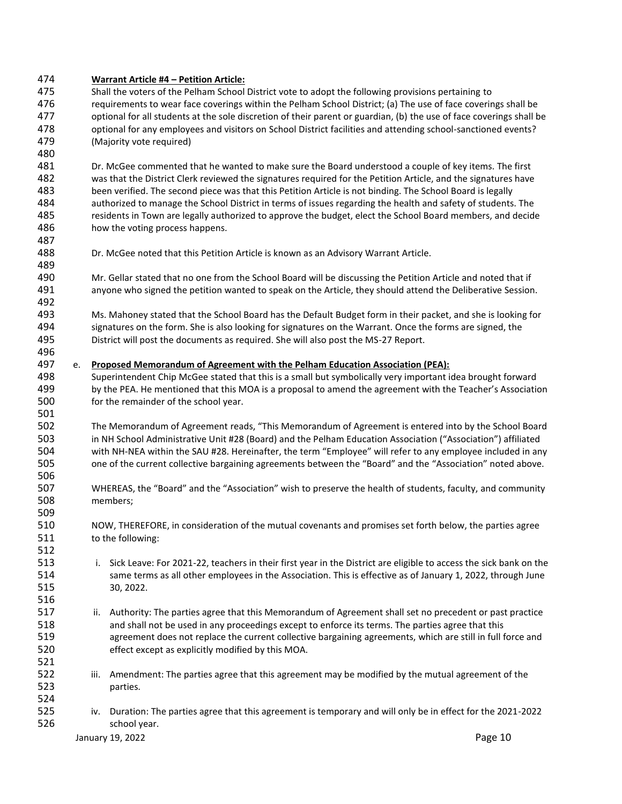### **Warrant Article #4 – Petition Article:**

 Shall the voters of the Pelham School District vote to adopt the following provisions pertaining to requirements to wear face coverings within the Pelham School District; (a) The use of face coverings shall be optional for all students at the sole discretion of their parent or guardian, (b) the use of face coverings shall be optional for any employees and visitors on School District facilities and attending school-sanctioned events? (Majority vote required)

 Dr. McGee commented that he wanted to make sure the Board understood a couple of key items. The first was that the District Clerk reviewed the signatures required for the Petition Article, and the signatures have been verified. The second piece was that this Petition Article is not binding. The School Board is legally authorized to manage the School District in terms of issues regarding the health and safety of students. The residents in Town are legally authorized to approve the budget, elect the School Board members, and decide how the voting process happens.

- Dr. McGee noted that this Petition Article is known as an Advisory Warrant Article.
- Mr. Gellar stated that no one from the School Board will be discussing the Petition Article and noted that if anyone who signed the petition wanted to speak on the Article, they should attend the Deliberative Session.
- Ms. Mahoney stated that the School Board has the Default Budget form in their packet, and she is looking for signatures on the form. She is also looking for signatures on the Warrant. Once the forms are signed, the District will post the documents as required. She will also post the MS-27 Report.

### e. **Proposed Memorandum of Agreement with the Pelham Education Association (PEA):**

- Superintendent Chip McGee stated that this is a small but symbolically very important idea brought forward by the PEA. He mentioned that this MOA is a proposal to amend the agreement with the Teacher's Association for the remainder of the school year.
- The Memorandum of Agreement reads, "This Memorandum of Agreement is entered into by the School Board in NH School Administrative Unit #28 (Board) and the Pelham Education Association ("Association") affiliated with NH-NEA within the SAU #28. Hereinafter, the term "Employee" will refer to any employee included in any one of the current collective bargaining agreements between the "Board" and the "Association" noted above.
- WHEREAS, the "Board" and the "Association" wish to preserve the health of students, faculty, and community members;
- NOW, THEREFORE, in consideration of the mutual covenants and promises set forth below, the parties agree 511 to the following:
- i. Sick Leave: For 2021-22, teachers in their first year in the District are eligible to access the sick bank on the same terms as all other employees in the Association. This is effective as of January 1, 2022, through June 30, 2022.
- ii. Authority: The parties agree that this Memorandum of Agreement shall set no precedent or past practice and shall not be used in any proceedings except to enforce its terms. The parties agree that this agreement does not replace the current collective bargaining agreements, which are still in full force and effect except as explicitly modified by this MOA.
- iii. Amendment: The parties agree that this agreement may be modified by the mutual agreement of the parties.
- iv. Duration: The parties agree that this agreement is temporary and will only be in effect for the 2021-2022 school year.

January 19, 2022 **Page 10**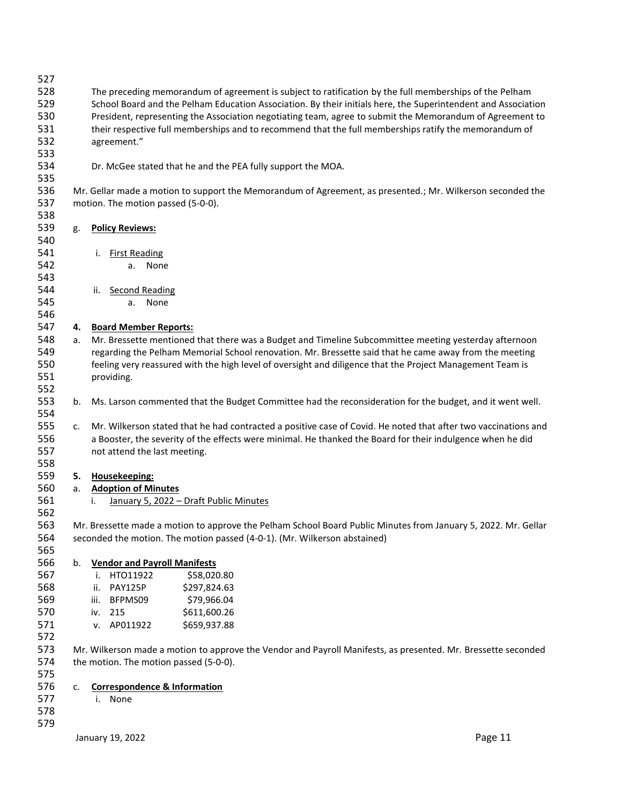| 527 |    |                                                                                                               |                                                                                                                |  |  |
|-----|----|---------------------------------------------------------------------------------------------------------------|----------------------------------------------------------------------------------------------------------------|--|--|
| 528 |    |                                                                                                               | The preceding memorandum of agreement is subject to ratification by the full memberships of the Pelham         |  |  |
| 529 |    |                                                                                                               | School Board and the Pelham Education Association. By their initials here, the Superintendent and Association  |  |  |
| 530 |    |                                                                                                               | President, representing the Association negotiating team, agree to submit the Memorandum of Agreement to       |  |  |
| 531 |    |                                                                                                               | their respective full memberships and to recommend that the full memberships ratify the memorandum of          |  |  |
| 532 |    | agreement."                                                                                                   |                                                                                                                |  |  |
| 533 |    |                                                                                                               |                                                                                                                |  |  |
| 534 |    |                                                                                                               | Dr. McGee stated that he and the PEA fully support the MOA.                                                    |  |  |
| 535 |    |                                                                                                               |                                                                                                                |  |  |
| 536 |    |                                                                                                               | Mr. Gellar made a motion to support the Memorandum of Agreement, as presented.; Mr. Wilkerson seconded the     |  |  |
| 537 |    | motion. The motion passed (5-0-0).                                                                            |                                                                                                                |  |  |
| 538 |    |                                                                                                               |                                                                                                                |  |  |
| 539 | g. | <b>Policy Reviews:</b>                                                                                        |                                                                                                                |  |  |
| 540 |    |                                                                                                               |                                                                                                                |  |  |
| 541 |    | <b>First Reading</b><br>i.                                                                                    |                                                                                                                |  |  |
| 542 |    | None<br>a.                                                                                                    |                                                                                                                |  |  |
| 543 |    |                                                                                                               |                                                                                                                |  |  |
| 544 |    |                                                                                                               |                                                                                                                |  |  |
|     |    | Second Reading<br>ii.                                                                                         |                                                                                                                |  |  |
| 545 |    | None<br>а.                                                                                                    |                                                                                                                |  |  |
| 546 |    |                                                                                                               |                                                                                                                |  |  |
| 547 | 4. | <b>Board Member Reports:</b>                                                                                  |                                                                                                                |  |  |
| 548 | а. |                                                                                                               | Mr. Bressette mentioned that there was a Budget and Timeline Subcommittee meeting yesterday afternoon          |  |  |
| 549 |    |                                                                                                               | regarding the Pelham Memorial School renovation. Mr. Bressette said that he came away from the meeting         |  |  |
| 550 |    |                                                                                                               | feeling very reassured with the high level of oversight and diligence that the Project Management Team is      |  |  |
| 551 |    | providing.                                                                                                    |                                                                                                                |  |  |
| 552 |    |                                                                                                               |                                                                                                                |  |  |
| 553 | b. |                                                                                                               | Ms. Larson commented that the Budget Committee had the reconsideration for the budget, and it went well.       |  |  |
| 554 |    |                                                                                                               |                                                                                                                |  |  |
| 555 | c. |                                                                                                               | Mr. Wilkerson stated that he had contracted a positive case of Covid. He noted that after two vaccinations and |  |  |
| 556 |    |                                                                                                               | a Booster, the severity of the effects were minimal. He thanked the Board for their indulgence when he did     |  |  |
| 557 |    | not attend the last meeting.                                                                                  |                                                                                                                |  |  |
| 558 |    |                                                                                                               |                                                                                                                |  |  |
| 559 | 5. | Housekeeping:                                                                                                 |                                                                                                                |  |  |
| 560 | a. | <b>Adoption of Minutes</b>                                                                                    |                                                                                                                |  |  |
| 561 |    | i.                                                                                                            | January 5, 2022 - Draft Public Minutes                                                                         |  |  |
| 562 |    |                                                                                                               |                                                                                                                |  |  |
| 563 |    |                                                                                                               | Mr. Bressette made a motion to approve the Pelham School Board Public Minutes from January 5, 2022. Mr. Gellar |  |  |
| 564 |    |                                                                                                               | seconded the motion. The motion passed (4-0-1). (Mr. Wilkerson abstained)                                      |  |  |
|     |    |                                                                                                               |                                                                                                                |  |  |
| 565 |    |                                                                                                               |                                                                                                                |  |  |
| 566 | b. | <b>Vendor and Payroll Manifests</b>                                                                           |                                                                                                                |  |  |
| 567 |    | HTO11922<br>i.                                                                                                | \$58,020.80                                                                                                    |  |  |
| 568 |    | <b>PAY125P</b><br>ii.                                                                                         | \$297,824.63                                                                                                   |  |  |
| 569 |    | BFPMS09<br>iii.                                                                                               | \$79,966.04                                                                                                    |  |  |
| 570 |    | 215<br>iv.                                                                                                    | \$611,600.26                                                                                                   |  |  |
| 571 |    | AP011922<br>v.                                                                                                | \$659,937.88                                                                                                   |  |  |
| 572 |    |                                                                                                               |                                                                                                                |  |  |
| 573 |    | Mr. Wilkerson made a motion to approve the Vendor and Payroll Manifests, as presented. Mr. Bressette seconded |                                                                                                                |  |  |
| 574 |    | the motion. The motion passed (5-0-0).                                                                        |                                                                                                                |  |  |
| 575 |    |                                                                                                               |                                                                                                                |  |  |
| 576 | c. | <b>Correspondence &amp; Information</b>                                                                       |                                                                                                                |  |  |
| 577 |    | i. None                                                                                                       |                                                                                                                |  |  |
| 578 |    |                                                                                                               |                                                                                                                |  |  |
| 579 |    |                                                                                                               |                                                                                                                |  |  |

January 19, 2022 **Page 11**